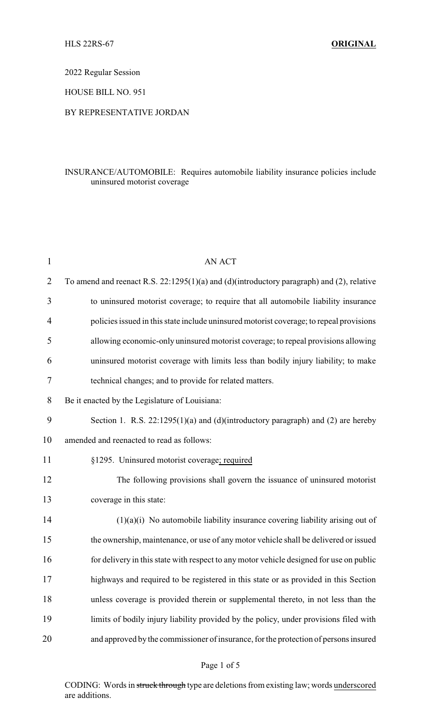2022 Regular Session

HOUSE BILL NO. 951

## BY REPRESENTATIVE JORDAN

# INSURANCE/AUTOMOBILE: Requires automobile liability insurance policies include uninsured motorist coverage

| $\mathbf{1}$ | <b>AN ACT</b>                                                                             |
|--------------|-------------------------------------------------------------------------------------------|
| 2            | To amend and reenact R.S. 22:1295(1)(a) and (d)(introductory paragraph) and (2), relative |
| 3            | to uninsured motorist coverage; to require that all automobile liability insurance        |
| 4            | policies issued in this state include uninsured motorist coverage; to repeal provisions   |
| 5            | allowing economic-only uninsured motorist coverage; to repeal provisions allowing         |
| 6            | uninsured motorist coverage with limits less than bodily injury liability; to make        |
| 7            | technical changes; and to provide for related matters.                                    |
| 8            | Be it enacted by the Legislature of Louisiana:                                            |
| 9            | Section 1. R.S. $22:1295(1)(a)$ and (d)(introductory paragraph) and (2) are hereby        |
| 10           | amended and reenacted to read as follows:                                                 |
| 11           | §1295. Uninsured motorist coverage; required                                              |
| 12           | The following provisions shall govern the issuance of uninsured motorist                  |
| 13           | coverage in this state:                                                                   |
| 14           | $(1)(a)(i)$ No automobile liability insurance covering liability arising out of           |
| 15           | the ownership, maintenance, or use of any motor vehicle shall be delivered or issued      |
| 16           | for delivery in this state with respect to any motor vehicle designed for use on public   |
| 17           | highways and required to be registered in this state or as provided in this Section       |
| 18           | unless coverage is provided therein or supplemental thereto, in not less than the         |
| 19           | limits of bodily injury liability provided by the policy, under provisions filed with     |
| 20           | and approved by the commissioner of insurance, for the protection of persons insured      |
|              |                                                                                           |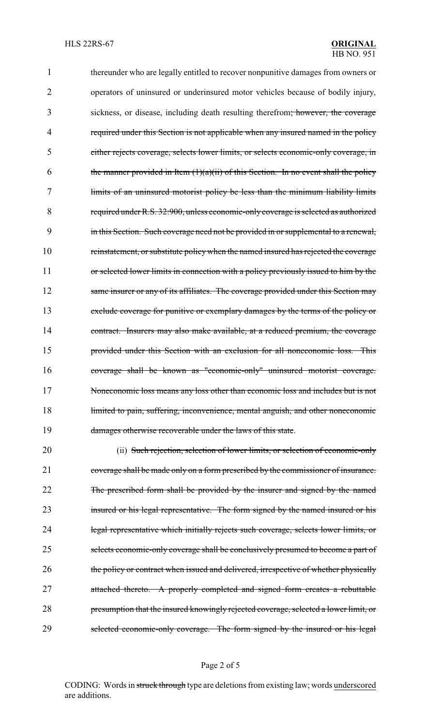thereunder who are legally entitled to recover nonpunitive damages from owners or operators of uninsured or underinsured motor vehicles because of bodily injury, sickness, or disease, including death resulting therefrom; however, the coverage 4 required under this Section is not applicable when any insured named in the policy either rejects coverage, selects lower limits, or selects economic-only coverage, in 6 the manner provided in Item  $(1)(a)(ii)$  of this Section. In no event shall the policy limits of an uninsured motorist policy be less than the minimum liability limits required under R.S. 32:900, unless economic-only coverage is selected as authorized in this Section. Such coverage need not be provided in or supplemental to a renewal, reinstatement, or substitute policy when the named insured has rejected the coverage 11 or selected lower limits in connection with a policy previously issued to him by the 12 same insurer or any of its affiliates. The coverage provided under this Section may exclude coverage for punitive or exemplary damages by the terms of the policy or 14 contract. Insurers may also make available, at a reduced premium, the coverage provided under this Section with an exclusion for all noneconomic loss. This coverage shall be known as "economic-only" uninsured motorist coverage. Noneconomic loss means any loss other than economic loss and includes but is not 18 limited to pain, suffering, inconvenience, mental anguish, and other noneconomic 19 damages otherwise recoverable under the laws of this state.

20 (ii) Such rejection, selection of lower limits, or selection of economic-only 21 coverage shall be made only on a form prescribed by the commissioner of insurance. 22 The prescribed form shall be provided by the insurer and signed by the named 23 insured or his legal representative. The form signed by the named insured or his 24 legal representative which initially rejects such coverage, selects lower limits, or 25 selects economic-only coverage shall be conclusively presumed to become a part of 26 the policy or contract when issued and delivered, irrespective of whether physically 27 attached thereto. A properly completed and signed form creates a rebuttable 28 presumption that the insured knowingly rejected coverage, selected a lower limit, or 29 selected economic-only coverage. The form signed by the insured or his legal

#### Page 2 of 5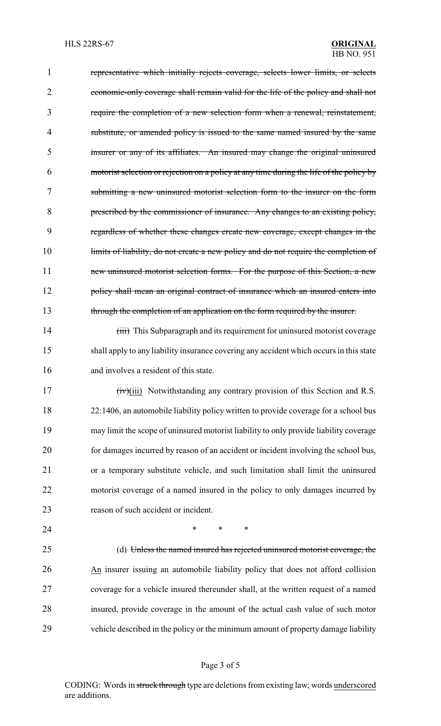representative which initially rejects coverage, selects lower limits, or selects economic-only coverage shall remain valid for the life of the policy and shall not require the completion of a new selection form when a renewal, reinstatement, 4 substitute, or amended policy is issued to the same named insured by the same insurer or any of its affiliates. An insured may change the original uninsured motorist selection or rejection on a policy at any time during the life of the policy by submitting a new uninsured motorist selection form to the insurer on the form prescribed by the commissioner of insurance. Any changes to an existing policy, regardless of whether these changes create new coverage, except changes in the 10 limits of liability, do not create a new policy and do not require the completion of 11 new uninsured motorist selection forms. For the purpose of this Section, a new 12 policy shall mean an original contract of insurance which an insured enters into 13 through the completion of an application on the form required by the insurer. 14 (iii) This Subparagraph and its requirement for uninsured motorist coverage

 shall apply to any liability insurance covering any accident which occurs in this state and involves a resident of this state.

 (iv)(iii) Notwithstanding any contrary provision of this Section and R.S. 22:1406, an automobile liability policy written to provide coverage for a school bus may limit the scope of uninsured motorist liability to only provide liability coverage for damages incurred by reason of an accident or incident involving the school bus, or a temporary substitute vehicle, and such limitation shall limit the uninsured motorist coverage of a named insured in the policy to only damages incurred by 23 reason of such accident or incident.

**\*** \* \* \*

 (d) Unless the named insured has rejected uninsured motorist coverage, the An insurer issuing an automobile liability policy that does not afford collision coverage for a vehicle insured thereunder shall, at the written request of a named insured, provide coverage in the amount of the actual cash value of such motor vehicle described in the policy or the minimum amount of property damage liability

## Page 3 of 5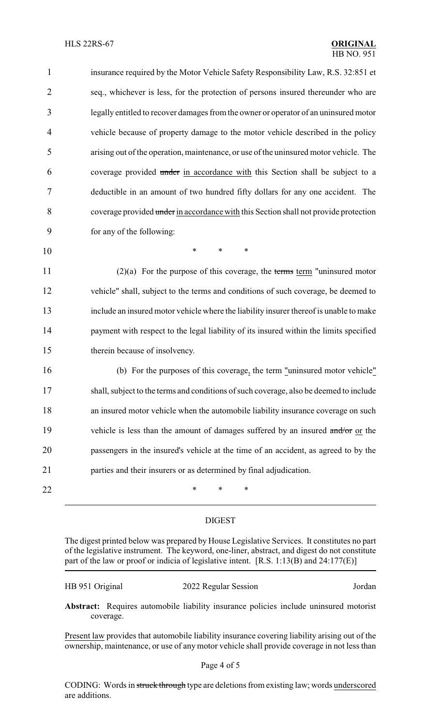| 1              | insurance required by the Motor Vehicle Safety Responsibility Law, R.S. 32:851 et      |
|----------------|----------------------------------------------------------------------------------------|
| $\overline{2}$ | seq., whichever is less, for the protection of persons insured thereunder who are      |
| 3              | legally entitled to recover damages from the owner or operator of an uninsured motor   |
| $\overline{4}$ | vehicle because of property damage to the motor vehicle described in the policy        |
| 5              | arising out of the operation, maintenance, or use of the uninsured motor vehicle. The  |
| 6              | coverage provided under in accordance with this Section shall be subject to a          |
| 7              | deductible in an amount of two hundred fifty dollars for any one accident. The         |
| 8              | coverage provided under in accordance with this Section shall not provide protection   |
| 9              | for any of the following:                                                              |
| 10             | $\ast$<br>*<br>*                                                                       |
| 11             | $(2)(a)$ For the purpose of this coverage, the terms term "uninsured motor             |
| 12             | vehicle" shall, subject to the terms and conditions of such coverage, be deemed to     |
| 13             | include an insured motor vehicle where the liability insurer thereof is unable to make |
| 14             | payment with respect to the legal liability of its insured within the limits specified |
| 15             | therein because of insolvency.                                                         |
| 16             | (b) For the purposes of this coverage, the term "uninsured motor vehicle"              |
| 17             | shall, subject to the terms and conditions of such coverage, also be deemed to include |
| 18             | an insured motor vehicle when the automobile liability insurance coverage on such      |
| 19             | vehicle is less than the amount of damages suffered by an insured and/or or the        |
| 20             | passengers in the insured's vehicle at the time of an accident, as agreed to by the    |
| 21             | parties and their insurers or as determined by final adjudication.                     |
| 22             | ∗<br>*<br>∗                                                                            |

## DIGEST

The digest printed below was prepared by House Legislative Services. It constitutes no part of the legislative instrument. The keyword, one-liner, abstract, and digest do not constitute part of the law or proof or indicia of legislative intent. [R.S. 1:13(B) and 24:177(E)]

| HB 951 Original | 2022 Regular Session | Jordan |
|-----------------|----------------------|--------|
|-----------------|----------------------|--------|

**Abstract:** Requires automobile liability insurance policies include uninsured motorist coverage.

Present law provides that automobile liability insurance covering liability arising out of the ownership, maintenance, or use of any motor vehicle shall provide coverage in not less than